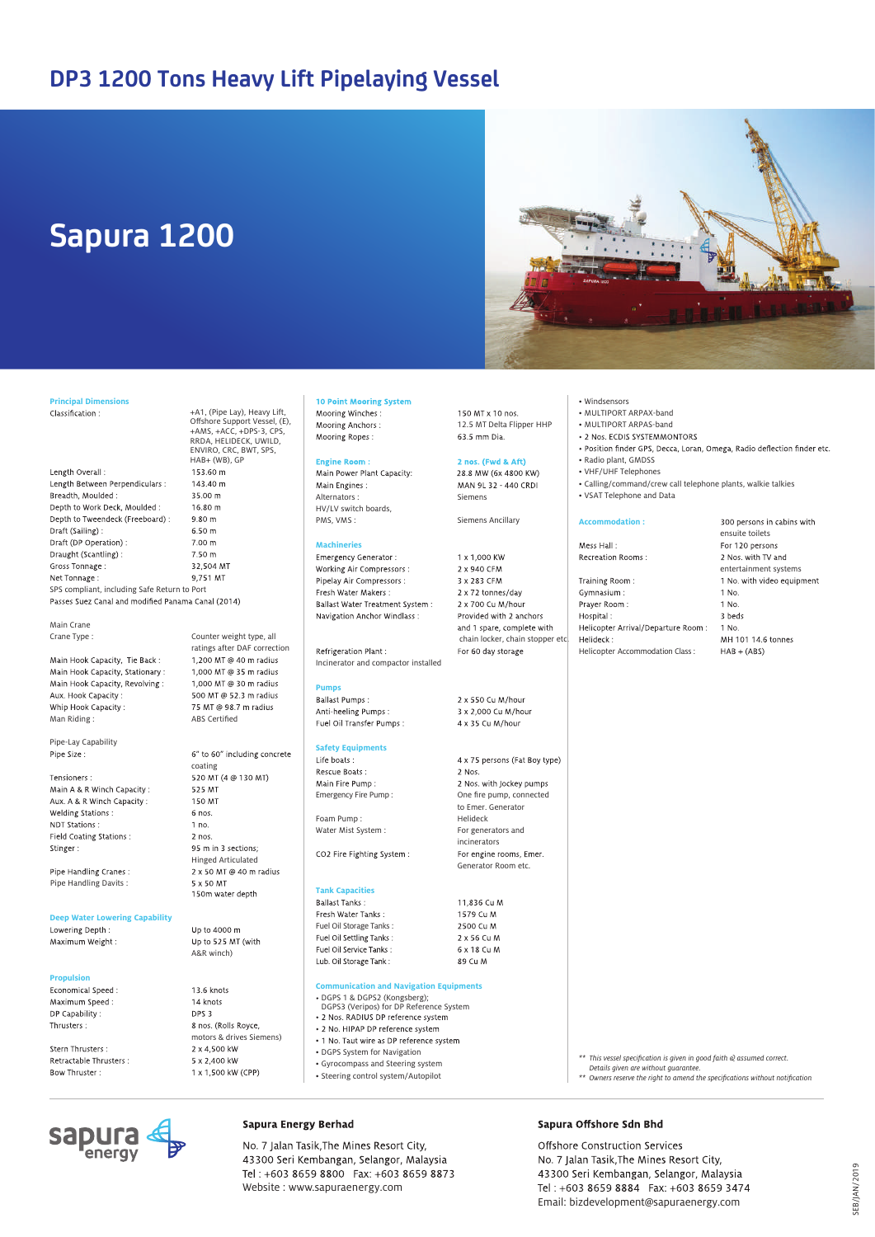## **DP3 1200 Tons Heavy Lift Pipelaying Vessel**

# **Sapura 1200**



## **Principal Dimensions**

RRDA, HELIDECK, UWILD,<br>ENVIRO, CRC, BWT, SPS, HAB+ (WB), GP Length Overall: 153.60 m Length Between Perpendiculars : 143.40 m Breadth, Moulded : 35.00 m Depth to Work Deck, Moulded :  $16.80 m$ Depth to Tweendeck (Freeboard) :  $9.80 \text{ m}$ Draft (Sailing):  $6.50 m$ Draft (DP Operation):  $7.00 m$ Draught (Scantling): 7.50 m 32,504 MT Gross Tonnage : Net Tonnage : 9.751 MT SPS compliant, including Safe Return to Port<br>Passes Suez Canal and modified Panama Canal (2014)

Main Crane

Main Hook Capacity, Tie Back: Main Hook Capacity, Stationary : Main Hook Capacity, Revolving: Aux. Hook Capacity: Whin Hook Canacity Man Riding : ABS Certified

Pipe-Lay Capability Pipe Size

Tensioners · Main A & R Winch Capacity: Aux. A & R Winch Capacity: Welding Stations : NDT Stations : Field Coating Stations : Stinger:

Pipe Handling Cranes: Pipe Handling Davits :

#### **Deep Water Lowering Capability**

Lowering Denth : Maximum Weight:

**Propulsion** Maximum Speed: DP Capability Thrusters:

Stern Thrusters : Retractable Thrusters : Bow Thruster:

**Sapura** 

Crane Type : Counter weight type, all ratings after DAF correction<br>1.200 MT @ 40 m radius 1,000 MT @ 35 m radius 1.000 MT @ 30 m radius 500 MT @ 52.3 m radius 75 MT @ 98.7 m radius 6" to 60" including concrete coating 520 MT (4 @ 130 MT) 525 MT 150 MT 6 nos.

+A1, (Pipe Lay), Heavy Lift,<br>Offshore Support Vessel, (E),<br>+AMS, +ACC, +DPS-3, CPS,

 $1 no.$  $2$  nos 95 m in 3 sections: Hinged Articulated<br>2 x 50 MT @ 40 m radius 5 x 50 MT 150m water depth

 $\ln$  to 4000 m Up to 525 MT (with A&R winch)

13.6 knots 14 knots DPS 3 8 nos. (Rolls Royce, motors & drives Siemens) 2 x 4.500 kW 5 x 2,400 kW 1 x 1,500 kW (CPP)

#### **10 Point Mooring System** Mooring Winches:

Mooring Anchors: Mooring Ropes:

#### zine Roon Main Power Plant Capacity:

Main Engines: Alternators : Siemens HV/LV switch boards,<br>PMS, VMS :

**Machineries** Working Air Compressors : Pipelay Air Compressors : Fresh Water Makers \* Ballast Water Treatment System: Navigation Anchor Windlass:

#### Refrigeration Plant : Incinerator and compactor installed

#### **Pumps**

**Ballast Pumps:** Anti-heeling Pumps: Fuel Oil Transfer Pumps:

#### **Safety Equipments**

Life boats: Rescue Boats Main Fire Pump

CO2 Fire Fighting System:

Fresh Water Tanks : Fuel Oil Storage Tanks:<br>Fuel Oil Settling Tanks: Fuel Oil Service Tanks : Lub. Oil Storage Tank:

## **Communication and Navigation Equipments**

- DGPS 1 & DGPS2 (Kongsberg); DGPS3 (Veripos) for DP Reference System
- 
- 2 No. HIPAP DP reference system
- 1 No. Taut wire as DP reference system
- DGPS System for Navigation
- Gyrocompass and Steering system
- Steering control system/Autopilot

### Sapura Offshore Sdn Bhd

Offshore Construction Services No. 7 Jalan Tasik, The Mines Resort City, 43300 Seri Kembangan, Selangor, Malaysia Tel: +603 8659 8884 Fax: +603 8659 3474 Email: bizdevelopment@sapuraenergy.com

*Details given are without guarantee.*

*\*\* This vessel specification is given in good faith & assumed correct.* 

*\*\* Owners reserve the right to amend the specifications without notification*

#### • Windsensors

- MULTIPORT ARPAX-band
- MULTIPORT ARPAS-band
- 
- · Position finder GPS, Decca, Loran, Omega, Radio deflection finder etc. • Radio plant, GMDSS
- VHF/UHF Telephones
- Calling/command/crew call telephone plants, walkie talkies • VSAT Telephone and Data

### **Accommodation :**

Mess Hall: Recreation Rooms :

Training Room: Gymnasium Prayer Room: Hospital: Helicopter Arrival/Departure Room : Helideck Helicopter Accommodation Class:

#### ensuite toilets For 120 persons 2 Nos. with TV and entertainment systems 1 No. with video equipment  $1$  No. 1 No. 3 beds 1 No. MH 101 14.6 tonnes  $HAB + (ABS)$

300 persons in cabins with

**SEB/IAN/2019** SEB/JAN/2019

No. 7 Jalan Tasik, The Mines Resort City, 43300 Seri Kembangan, Selangor, Malaysia Tel: +603 8659 8800 Fax: +603 8659 8873 Website : www.sapuraenergy.com

and 1 spare, complete with chain locker, chain stopper etc.<br>For 60 day storage 2 x 550 Cu M/hour 3 x 2.000 Cu M/hour 4 x 35 Cu M/hour

Siemens Ancillary

1 x 1,000 KW

2 x 940 CFM

3 x 283 CFM

2 x 72 tonnes/day

2 x 700 Cu M/hour

Provided with 2 anchors

12.5 MT Delta Flipper HHP<br>63.5 mm Dia.

150 MT x 10 nos.

2 nos. (Fwd & Aft)

28.8 MW (6x 4800 KW)

MAN 91 32 - 440 CRDI

4 x 75 persons (Fat Boy type) 2 Nos. 2 Nos. with Jockey pumps Emergency Fire Pump : One fire pump, connected to Emer. Generator Foam Pump : Helideck Water Mist System : For generators and incinerators<br>For engine rooms, Emer.

> 1579 CLM 2500 CLM 2 x 56 Cu M

11,836 Cu M

6 x 18 Cu M 89 Cu M

Generator Room etc.

**Tank Capacities**

**Sapura Energy Berhad**